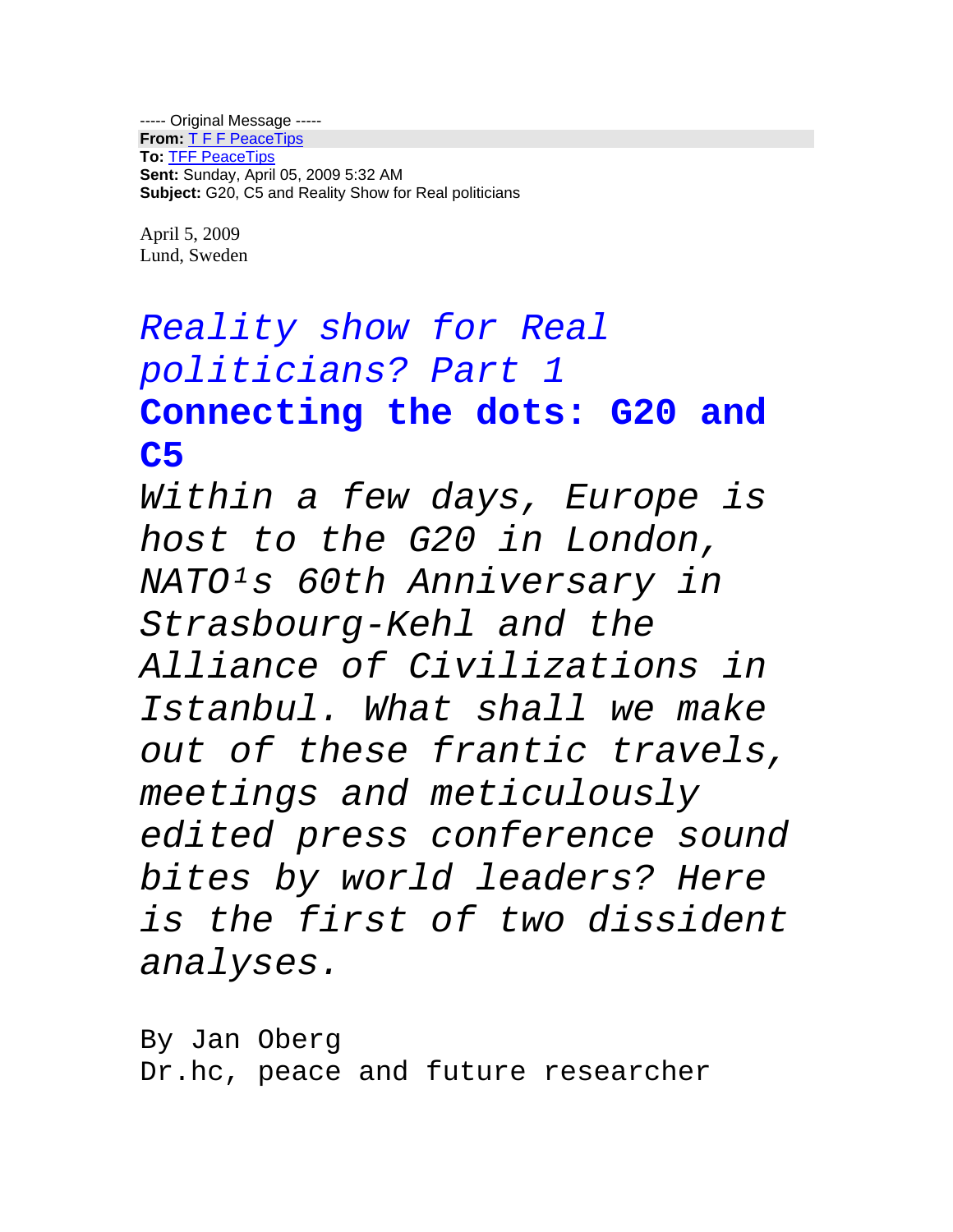----- Original Message ----- **From:** T F F PeaceTips **To:** TFF PeaceTips **Sent:** Sunday, April 05, 2009 5:32 AM **Subject:** G20, C5 and Reality Show for Real politicians

April 5, 2009 Lund, Sweden

# *Reality show for Real politicians? Part 1* **Connecting the dots: G20 and C5**

*Within a few days, Europe is host to the G20 in London, NATO¹s 60th Anniversary in Strasbourg-Kehl and the Alliance of Civilizations in Istanbul. What shall we make out of these frantic travels, meetings and meticulously edited press conference sound bites by world leaders? Here is the first of two dissident analyses.*

By Jan Oberg Dr.hc, peace and future researcher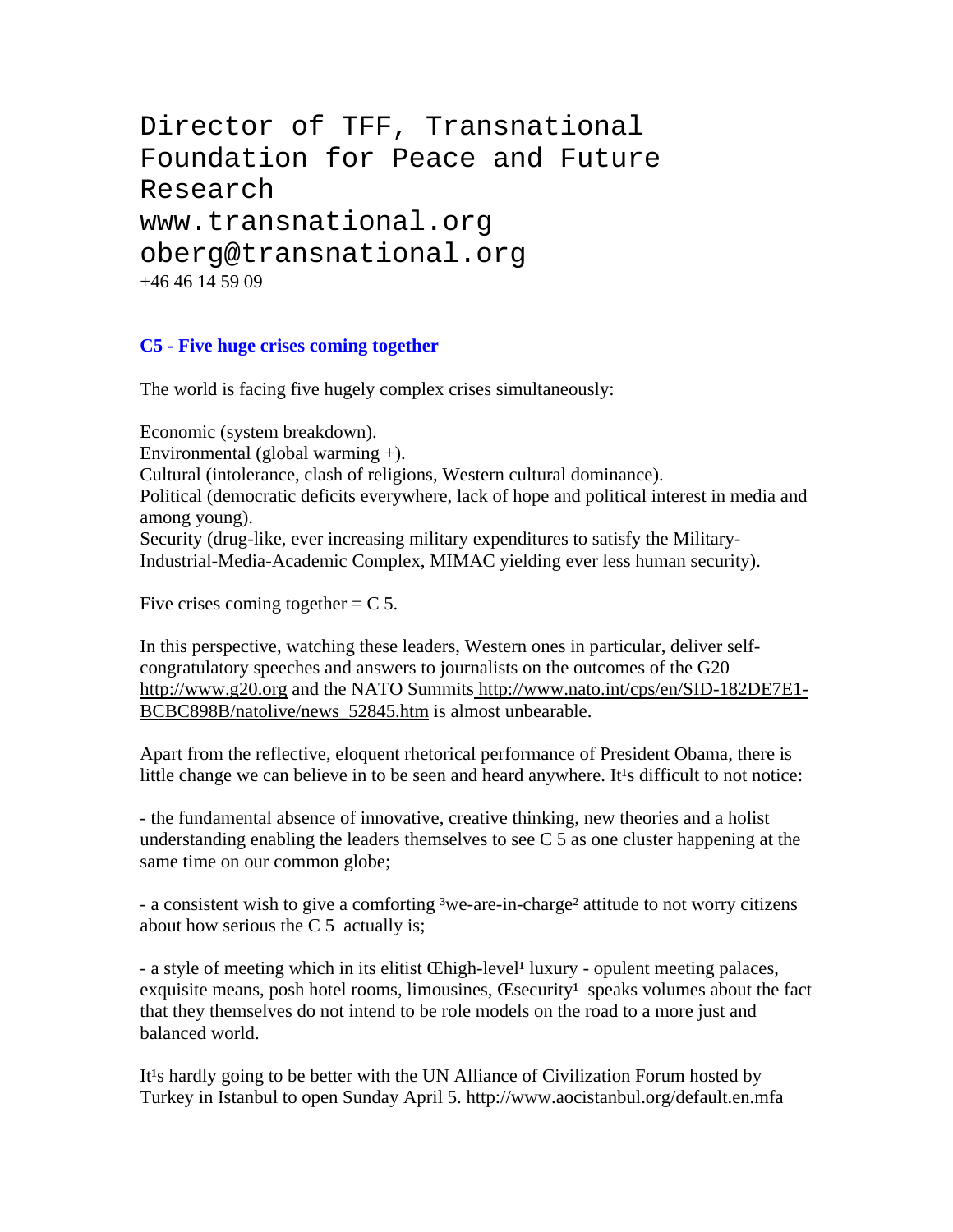```
Director of TFF, Transnational 
Foundation for Peace and Future 
Research
www.transnational.org
oberg@transnational.org
+46 46 14 59 09
```
### **C5 - Five huge crises coming together**

The world is facing five hugely complex crises simultaneously:

Economic (system breakdown). Environmental (global warming +). Cultural (intolerance, clash of religions, Western cultural dominance). Political (democratic deficits everywhere, lack of hope and political interest in media and among young). Security (drug-like, ever increasing military expenditures to satisfy the Military-Industrial-Media-Academic Complex, MIMAC yielding ever less human security).

Five crises coming together  $=$  C 5.

In this perspective, watching these leaders, Western ones in particular, deliver selfcongratulatory speeches and answers to journalists on the outcomes of the G20 http://www.g20.org and the NATO Summits http://www.nato.int/cps/en/SID-182DE7E1- BCBC898B/natolive/news 52845.htm is almost unbearable.

Apart from the reflective, eloquent rhetorical performance of President Obama, there is little change we can believe in to be seen and heard anywhere. It<sup>1</sup>s difficult to not notice:

- the fundamental absence of innovative, creative thinking, new theories and a holist understanding enabling the leaders themselves to see  $C_5$  as one cluster happening at the same time on our common globe;

- a consistent wish to give a comforting <sup>3</sup>we-are-in-charge<sup>2</sup> attitude to not worry citizens about how serious the  $C_5$  actually is;

- a style of meeting which in its elitist Chigh-level<sup>1</sup> luxury - opulent meeting palaces, exquisite means, posh hotel rooms, limousines,  $\alpha$  Esecurity<sup>1</sup> speaks volumes about the fact that they themselves do not intend to be role models on the road to a more just and balanced world.

It<sup>t</sup>'s hardly going to be better with the UN Alliance of Civilization Forum hosted by Turkey in Istanbul to open Sunday April 5. http://www.aocistanbul.org/default.en.mfa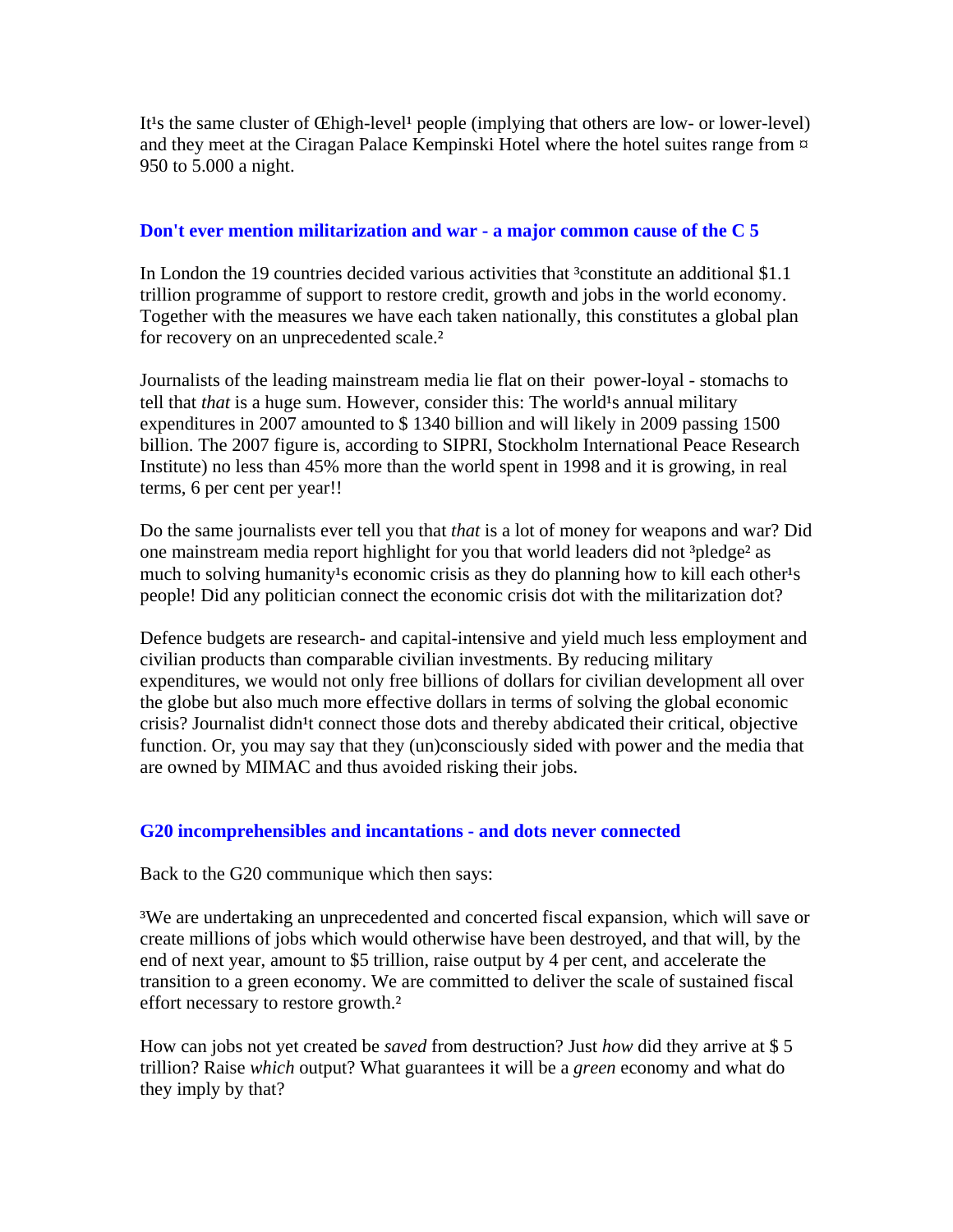It<sup>1</sup>s the same cluster of Chigh-level<sup>1</sup> people (implying that others are low- or lower-level) and they meet at the Ciragan Palace Kempinski Hotel where the hotel suites range from  $\alpha$ 950 to 5.000 a night.

#### **Don't ever mention militarization and war - a major common cause of the C 5**

In London the 19 countries decided various activities that <sup>3</sup>constitute an additional \$1.1 trillion programme of support to restore credit, growth and jobs in the world economy. Together with the measures we have each taken nationally, this constitutes a global plan for recovery on an unprecedented scale.<sup>2</sup>

Journalists of the leading mainstream media lie flat on their power-loyal - stomachs to tell that *that* is a huge sum. However, consider this: The world<sup>1</sup>s annual military expenditures in 2007 amounted to \$ 1340 billion and will likely in 2009 passing 1500 billion. The 2007 figure is, according to SIPRI, Stockholm International Peace Research Institute) no less than 45% more than the world spent in 1998 and it is growing, in real terms, 6 per cent per year!!

Do the same journalists ever tell you that *that* is a lot of money for weapons and war? Did one mainstream media report highlight for you that world leaders did not <sup>3</sup>pledge<sup>2</sup> as much to solving humanity<sup>1</sup>s economic crisis as they do planning how to kill each other<sup>1</sup>s people! Did any politician connect the economic crisis dot with the militarization dot?

Defence budgets are research- and capital-intensive and yield much less employment and civilian products than comparable civilian investments. By reducing military expenditures, we would not only free billions of dollars for civilian development all over the globe but also much more effective dollars in terms of solving the global economic crisis? Journalist didn<sup>1</sup>t connect those dots and thereby abdicated their critical, objective function. Or, you may say that they (un)consciously sided with power and the media that are owned by MIMAC and thus avoided risking their jobs.

#### **G20 incomprehensibles and incantations - and dots never connected**

Back to the G20 communique which then says:

³We are undertaking an unprecedented and concerted fiscal expansion, which will save or create millions of jobs which would otherwise have been destroyed, and that will, by the end of next year, amount to \$5 trillion, raise output by 4 per cent, and accelerate the transition to a green economy. We are committed to deliver the scale of sustained fiscal effort necessary to restore growth.²

How can jobs not yet created be *saved* from destruction? Just *how* did they arrive at \$ 5 trillion? Raise *which* output? What guarantees it will be a *green* economy and what do they imply by that?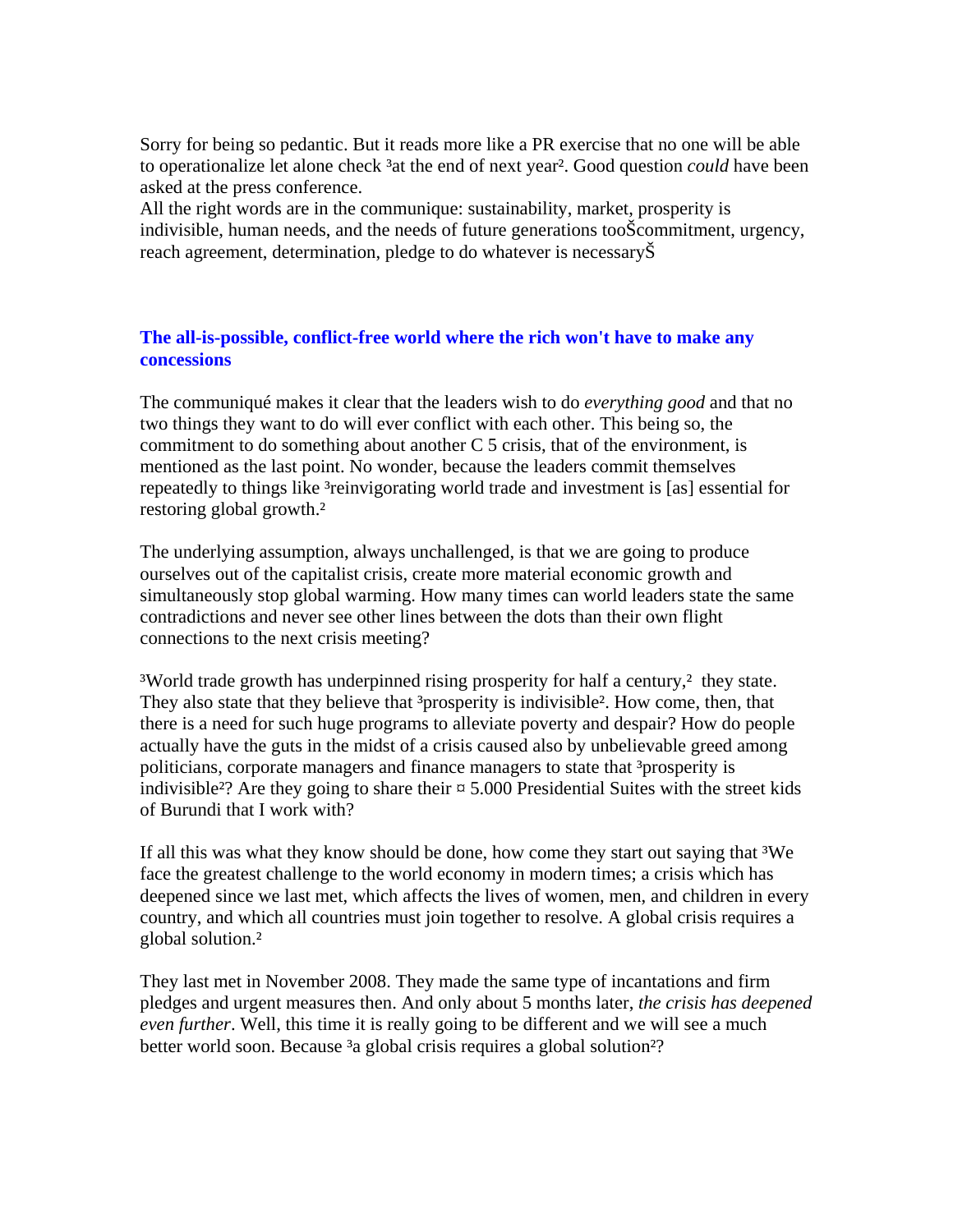Sorry for being so pedantic. But it reads more like a PR exercise that no one will be able to operationalize let alone check <sup>3</sup>at the end of next year<sup>2</sup>. Good question *could* have been asked at the press conference.

All the right words are in the communique: sustainability, market, prosperity is indivisible, human needs, and the needs of future generations tooŠcommitment, urgency, reach agreement, determination, pledge to do whatever is necessaryŠ

#### **The all-is-possible, conflict-free world where the rich won't have to make any concessions**

The communiqué makes it clear that the leaders wish to do *everything good* and that no two things they want to do will ever conflict with each other. This being so, the commitment to do something about another C 5 crisis, that of the environment, is mentioned as the last point. No wonder, because the leaders commit themselves repeatedly to things like <sup>3</sup>reinvigorating world trade and investment is [as] essential for restoring global growth.²

The underlying assumption, always unchallenged, is that we are going to produce ourselves out of the capitalist crisis, create more material economic growth and simultaneously stop global warming. How many times can world leaders state the same contradictions and never see other lines between the dots than their own flight connections to the next crisis meeting?

<sup>3</sup>World trade growth has underpinned rising prosperity for half a century,<sup>2</sup> they state. They also state that they believe that <sup>3</sup>prosperity is indivisible<sup>2</sup>. How come, then, that there is a need for such huge programs to alleviate poverty and despair? How do people actually have the guts in the midst of a crisis caused also by unbelievable greed among politicians, corporate managers and finance managers to state that <sup>3</sup>prosperity is indivisible<sup>2</sup>? Are they going to share their  $\approx 5.000$  Presidential Suites with the street kids of Burundi that I work with?

If all this was what they know should be done, how come they start out saying that <sup>3</sup>We face the greatest challenge to the world economy in modern times; a crisis which has deepened since we last met, which affects the lives of women, men, and children in every country, and which all countries must join together to resolve. A global crisis requires a global solution.²

They last met in November 2008. They made the same type of incantations and firm pledges and urgent measures then. And only about 5 months later, *the crisis has deepened even further*. Well, this time it is really going to be different and we will see a much better world soon. Because <sup>3</sup>a global crisis requires a global solution<sup>2</sup>?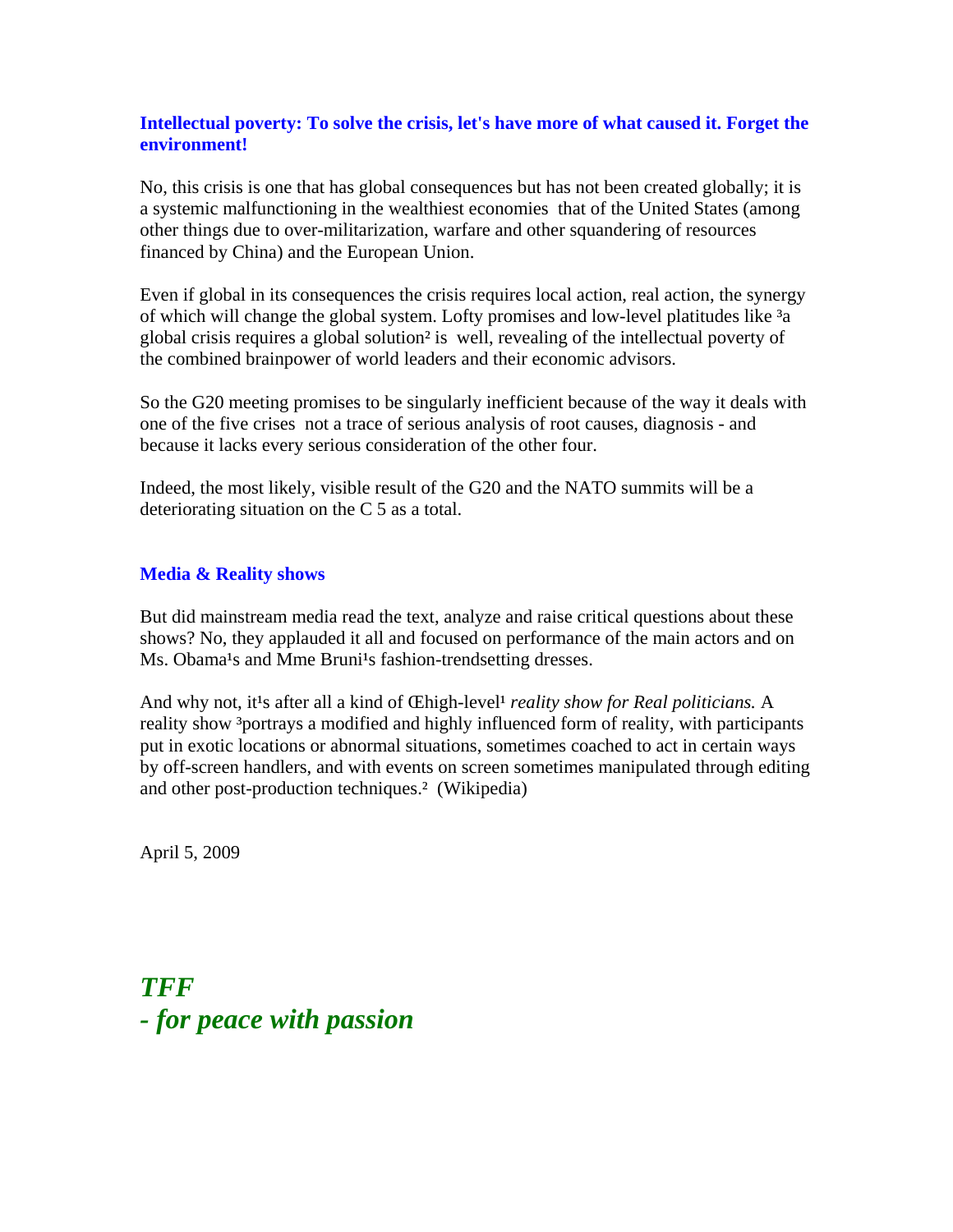#### **Intellectual poverty: To solve the crisis, let's have more of what caused it. Forget the environment!**

No, this crisis is one that has global consequences but has not been created globally; it is a systemic malfunctioning in the wealthiest economies that of the United States (among other things due to over-militarization, warfare and other squandering of resources financed by China) and the European Union.

Even if global in its consequences the crisis requires local action, real action, the synergy of which will change the global system. Lofty promises and low-level platitudes like  $3a$ global crisis requires a global solution² is well, revealing of the intellectual poverty of the combined brainpower of world leaders and their economic advisors.

So the G20 meeting promises to be singularly inefficient because of the way it deals with one of the five crises not a trace of serious analysis of root causes, diagnosis - and because it lacks every serious consideration of the other four.

Indeed, the most likely, visible result of the G20 and the NATO summits will be a deteriorating situation on the C 5 as a total.

#### **Media & Reality shows**

But did mainstream media read the text, analyze and raise critical questions about these shows? No, they applauded it all and focused on performance of the main actors and on Ms. Obama<sup>1</sup>s and Mme Bruni<sup>1</sup>s fashion-trendsetting dresses.

And why not, it<sup>1</sup>s after all a kind of *Chigh-level<sup>1</sup> reality show for Real politicians*. A reality show <sup>3</sup>portrays a modified and highly influenced form of reality, with participants put in exotic locations or abnormal situations, sometimes coached to act in certain ways by off-screen handlers, and with events on screen sometimes manipulated through editing and other post-production techniques.² (Wikipedia)

April 5, 2009

## *TFF - for peace with passion*